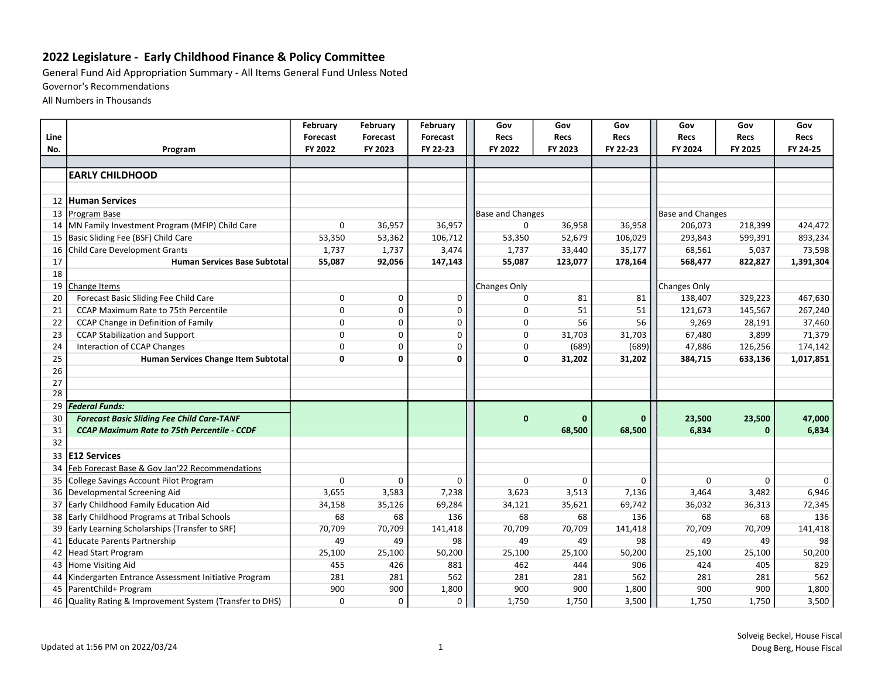## 2022 Legislature - Early Childhood Finance & Policy Committee

General Fund Aid Appropriation Summary - All Items General Fund Unless Noted

Governor's Recommendations

All Numbers in Thousands

|      |                                                       | February    | February     | February     | Gov                     | Gov         | Gov          | Gov                 | Gov          | Gov         |
|------|-------------------------------------------------------|-------------|--------------|--------------|-------------------------|-------------|--------------|---------------------|--------------|-------------|
| Line |                                                       | Forecast    | Forecast     | Forecast     | <b>Recs</b>             | <b>Recs</b> | <b>Recs</b>  | <b>Recs</b>         | <b>Recs</b>  | <b>Recs</b> |
| No.  | Program                                               | FY 2022     | FY 2023      | FY 22-23     | FY 2022                 | FY 2023     | FY 22-23     | FY 2024             | FY 2025      | FY 24-25    |
|      |                                                       |             |              |              |                         |             |              |                     |              |             |
|      | <b>EARLY CHILDHOOD</b>                                |             |              |              |                         |             |              |                     |              |             |
|      |                                                       |             |              |              |                         |             |              |                     |              |             |
| 12   | <b>Human Services</b>                                 |             |              |              |                         |             |              |                     |              |             |
| 13   | Program Base                                          |             |              |              | <b>Base and Changes</b> |             |              | Base and Changes    |              |             |
| 14   | MN Family Investment Program (MFIP) Child Care        | 0           | 36,957       | 36,957       | $\mathbf 0$             | 36,958      | 36,958       | 206,073             | 218,399      | 424,472     |
| 15   | Basic Sliding Fee (BSF) Child Care                    | 53,350      | 53,362       | 106,712      | 53,350                  | 52,679      | 106,029      | 293,843             | 599,391      | 893,234     |
| 16   | Child Care Development Grants                         | 1,737       | 1,737        | 3,474        | 1,737                   | 33,440      | 35,177       | 68,561              | 5,037        | 73,598      |
| 17   | <b>Human Services Base Subtotal</b>                   | 55,087      | 92,056       | 147,143      | 55,087                  | 123,077     | 178,164      | 568,477             | 822,827      | 1,391,304   |
| 18   |                                                       |             |              |              |                         |             |              |                     |              |             |
| 19   | Change Items                                          |             |              |              | Changes Only            |             |              | <b>Changes Only</b> |              |             |
| 20   | Forecast Basic Sliding Fee Child Care                 | $\mathbf 0$ | $\Omega$     | $\mathbf 0$  | $\Omega$                | 81          | 81           | 138,407             | 329,223      | 467,630     |
| 21   | CCAP Maximum Rate to 75th Percentile                  | 0           | 0            | $\mathbf 0$  | $\mathbf 0$             | 51          | 51           | 121,673             | 145,567      | 267,240     |
| 22   | CCAP Change in Definition of Family                   | 0           | $\mathbf 0$  | $\mathbf 0$  | $\mathbf 0$             | 56          | 56           | 9,269               | 28,191       | 37,460      |
| 23   | <b>CCAP Stabilization and Support</b>                 | 0           | 0            | 0            | $\mathbf 0$             | 31,703      | 31,703       | 67,480              | 3,899        | 71,379      |
| 24   | Interaction of CCAP Changes                           | $\mathsf 0$ | $\mathbf 0$  | 0            | $\mathbf 0$             | (689)       | (689)        | 47,886              | 126,256      | 174,142     |
| 25   | Human Services Change Item Subtotal                   | 0           | $\mathbf{0}$ | $\mathbf{0}$ | $\mathbf{0}$            | 31,202      | 31,202       | 384,715             | 633,136      | 1,017,851   |
| 26   |                                                       |             |              |              |                         |             |              |                     |              |             |
| 27   |                                                       |             |              |              |                         |             |              |                     |              |             |
| 28   |                                                       |             |              |              |                         |             |              |                     |              |             |
| 29   | <b>Federal Funds:</b>                                 |             |              |              |                         |             |              |                     |              |             |
| 30   | <b>Forecast Basic Sliding Fee Child Care-TANF</b>     |             |              |              | $\mathbf{0}$            | $\bf{0}$    | $\mathbf{0}$ | 23,500              | 23,500       | 47,000      |
| 31   | <b>CCAP Maximum Rate to 75th Percentile - CCDF</b>    |             |              |              |                         | 68,500      | 68,500       | 6,834               | $\mathbf{0}$ | 6,834       |
| 32   |                                                       |             |              |              |                         |             |              |                     |              |             |
| 33   | <b>E12 Services</b>                                   |             |              |              |                         |             |              |                     |              |             |
| 34   | Feb Forecast Base & Gov Jan'22 Recommendations        |             |              |              |                         |             |              |                     |              |             |
| 35   | College Savings Account Pilot Program                 | $\mathbf 0$ | $\Omega$     | 0            | $\Omega$                | 0           | $\Omega$     | $\Omega$            | $\Omega$     | $\Omega$    |
| 36   | Developmental Screening Aid                           | 3,655       | 3,583        | 7,238        | 3,623                   | 3,513       | 7,136        | 3,464               | 3,482        | 6,946       |
| 37   | Early Childhood Family Education Aid                  | 34,158      | 35,126       | 69,284       | 34,121                  | 35,621      | 69,742       | 36,032              | 36,313       | 72,345      |
| 38   | Early Childhood Programs at Tribal Schools            | 68          | 68           | 136          | 68                      | 68          | 136          | 68                  | 68           | 136         |
| 39   | Early Learning Scholarships (Transfer to SRF)         | 70,709      | 70,709       | 141,418      | 70,709                  | 70,709      | 141,418      | 70,709              | 70,709       | 141,418     |
| 41   | Educate Parents Partnership                           | 49          | 49           | 98           | 49                      | 49          | 98           | 49                  | 49           | 98          |
| 42   | <b>Head Start Program</b>                             | 25,100      | 25,100       | 50,200       | 25,100                  | 25,100      | 50,200       | 25,100              | 25,100       | 50,200      |
| 43   | Home Visiting Aid                                     | 455         | 426          | 881          | 462                     | 444         | 906          | 424                 | 405          | 829         |
| 44   | Kindergarten Entrance Assessment Initiative Program   | 281         | 281          | 562          | 281                     | 281         | 562          | 281                 | 281          | 562         |
| 45   | ParentChild+ Program                                  | 900         | 900          | 1,800        | 900                     | 900         | 1,800        | 900                 | 900          | 1,800       |
| 46   | Quality Rating & Improvement System (Transfer to DHS) | 0           | 0            | 0            | 1,750                   | 1,750       | 3,500        | 1,750               | 1,750        | 3,500       |